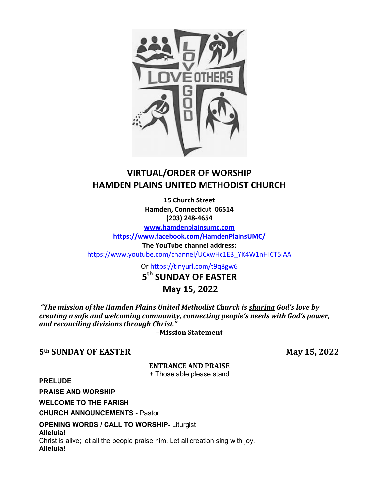

## **VIRTUAL/ORDER OF WORSHIP HAMDEN PLAINS UNITED METHODIST CHURCH**

**15 Church Street Hamden, Connecticut 06514 (203) 248-4654**

**[www.hamdenplainsumc.com](http://www.hamdenplainsumc.com/)**

**<https://www.facebook.com/HamdenPlainsUMC/>**

**The YouTube channel address:**

[https://www.youtube.com/channel/UCxwHc1E3\\_YK4W1nHICT5iAA](https://www.youtube.com/channel/UCxwHc1E3_YK4W1nHICT5iAA)

Or<https://tinyurl.com/t9q8gw6>

**5th SUNDAY OF EASTER**

### **May 15, 2022**

"The mission of the Hamden Plains United Methodist Church is sharing God's love by *creating a safe and welcoming community, connecting ǯ ǯǡ and reconciling divisions through Christ."* 

**ȂMission Statement**

**5th SUNDAY OF EASTER** May 15, 2022

### **ENTRANCE AND PRAISE**

+ Those able please stand

**PRELUDE**

**PRAISE AND WORSHIP**

**WELCOME TO THE PARISH**

**CHURCH ANNOUNCEMENTS** - Pastor

**OPENING WORDS / CALL TO WORSHIP-** Liturgist

**Alleluia!**  Christ is alive; let all the people praise him. Let all creation sing with joy. **Alleluia!**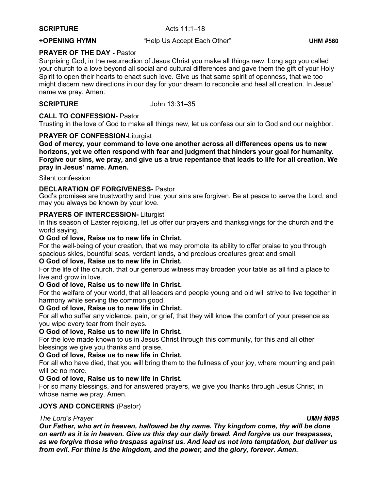#### **SCRIPTURE** Acts 11:1-18

**+OPENING HYMN**  $\bullet$  "Help Us Accept Each Other" UHM #560

#### **PRAYER OF THE DAY -** Pastor

Surprising God, in the resurrection of Jesus Christ you make all things new. Long ago you called your church to a love beyond all social and cultural differences and gave them the gift of your Holy Spirit to open their hearts to enact such love. Give us that same spirit of openness, that we too might discern new directions in our day for your dream to reconcile and heal all creation. In Jesus' name we pray. Amen.

**SCRIPTURE** John 13:31–35

### **CALL TO CONFESSION-** Pastor

Trusting in the love of God to make all things new, let us confess our sin to God and our neighbor.

### **PRAYER OF CONFESSION-**Liturgist

**God of mercy, your command to love one another across all differences opens us to new horizons, yet we often respond with fear and judgment that hinders your goal for humanity. Forgive our sins, we pray, and give us a true repentance that leads to life for all creation. We**  pray in Jesus' name. Amen.

#### Silent confession

#### **DECLARATION OF FORGIVENESS-** Pastor

God's promises are trustworthy and true; your sins are forgiven. Be at peace to serve the Lord, and may you always be known by your love.

#### **PRAYERS OF INTERCESSION-** Liturgist

In this season of Easter rejoicing, let us offer our prayers and thanksgivings for the church and the world saying,

### **O God of love, Raise us to new life in Christ.**

For the well-being of your creation, that we may promote its ability to offer praise to you through spacious skies, bountiful seas, verdant lands, and precious creatures great and small.

#### **O God of love, Raise us to new life in Christ.**

For the life of the church, that our generous witness may broaden your table as all find a place to live and grow in love.

### **O God of love, Raise us to new life in Christ.**

For the welfare of your world, that all leaders and people young and old will strive to live together in harmony while serving the common good.

### **O God of love, Raise us to new life in Christ.**

For all who suffer any violence, pain, or grief, that they will know the comfort of your presence as you wipe every tear from their eyes.

#### **O God of love, Raise us to new life in Christ.**

For the love made known to us in Jesus Christ through this community, for this and all other blessings we give you thanks and praise.

#### **O God of love, Raise us to new life in Christ.**

For all who have died, that you will bring them to the fullness of your joy, where mourning and pain will be no more.

### **O God of love, Raise us to new life in Christ.**

For so many blessings, and for answered prayers, we give you thanks through Jesus Christ, in whose name we pray. Amen.

#### **JOYS AND CONCERNS** (Pastor)

### *7he Lord's Prayer <i>UMH #895*

*Our Father, who art in heaven, hallowed be thy name. Thy kingdom come, thy will be done on earth as it is in heaven. Give us this day our daily bread. And forgive us our trespasses, as we forgive those who trespass against us. And lead us not into temptation, but deliver us from evil. For thine is the kingdom, and the power, and the glory, forever. Amen.*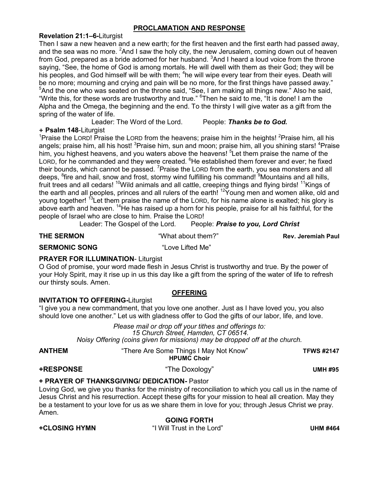### **PROCLAMATION AND RESPONSE**

#### **Revelation 21:1±6-**Liturgist

Then I saw a new heaven and a new earth; for the first heaven and the first earth had passed away, and the sea was no more.  ${}^{2}$ And I saw the holy city, the new Jerusalem, coming down out of heaven from God, prepared as a bride adorned for her husband.  $3$ And I heard a loud voice from the throne saying, "See, the home of God is among mortals. He will dwell with them as their God; they will be his peoples, and God himself will be with them; <sup>4</sup>he will wipe every tear from their eyes. Death will be no more; mourning and crying and pain will be no more, for the first things have passed away."  $5$ And the one who was seated on the throne said, "See, I am making all things new." Also he said, "Write this, for these words are trustworthy and true."  $^6$ Then he said to me, "It is done! I am the Alpha and the Omega, the beginning and the end. To the thirsty I will give water as a gift from the spring of the water of life.

Leader: The Word of the Lord. People: *Thanks be to God.*

#### **+ Psalm 148**-Liturgist

<sup>1</sup>Praise the LORD! Praise the LORD from the heavens; praise him in the heights! <sup>2</sup>Praise him, all his angels; praise him, all his host! <sup>3</sup>Praise him, sun and moon; praise him, all you shining stars! <sup>4</sup>Praise him, you highest heavens, and you waters above the heavens! <sup>5</sup>Let them praise the name of the LORD, for he commanded and they were created. <sup>6</sup>He established them forever and ever; he fixed their bounds, which cannot be passed. <sup>7</sup> Praise the LORD from the earth, you sea monsters and all deeps, <sup>8</sup>fire and hail, snow and frost, stormy wind fulfilling his command! <sup>9</sup>Mountains and all hills, fruit trees and all cedars! <sup>10</sup>Wild animals and all cattle, creeping things and flying birds! <sup>11</sup>Kings of the earth and all peoples, princes and all rulers of the earth! <sup>12</sup>Young men and women alike, old and young together! <sup>13</sup> Let them praise the name of the LORD, for his name alone is exalted; his glory is above earth and heaven.  $14$  He has raised up a horn for his people, praise for all his faithful, for the people of Israel who are close to him. Praise the LORD!

Leader: The Gospel of the Lord. People: Praise to you, Lord Christ

**THE SERMON About them?**<sup>"</sup> **Rev. Jeremiah Paul Rev. Jeremiah Paul** 

**SERMONIC SONG EXAMPLE 1999 36 ANGLE 1999 SERMONIC SONG** 

### **PRAYER FOR ILLUMINATION**- Liturgist

O God of promise, your word made flesh in Jesus Christ is trustworthy and true. By the power of your Holy Spirit, may it rise up in us this day like a gift from the spring of the water of life to refresh our thirsty souls. Amen.

### **OFFERING**

### **INVITATION TO OFFERING-**Liturgist

"I give you a new commandment, that you love one another. Just as I have loved you, you also should love one another." Let us with gladness offer to God the gifts of our labor, life, and love.

> *Please mail or drop off your tithes and offerings to: 15 Church Street, Hamden, CT 06514. Noisy Offering (coins given for missions) may be dropped off at the church.*

**ANTHEM** ³There Are Some Things I May Not Know´ **TFWS #2147 HPUMC Choir**

### **+RESPONSE** UMH #95

#### **+ PRAYER OF THANKSGIVING/ DEDICATION-** Pastor

Loving God, we give you thanks for the ministry of reconciliation to which you call us in the name of Jesus Christ and his resurrection. Accept these gifts for your mission to heal all creation. May they be a testament to your love for us as we share them in love for you; through Jesus Christ we pray. Amen.

**GOING FORTH +CLOSING HYMN** ³,:LOO7UXVWin the Lord´ **UHM #464**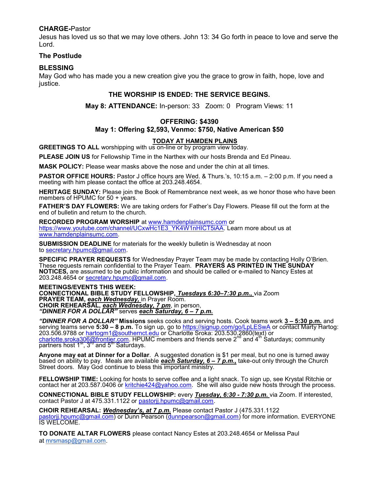#### **CHARGE-**Pastor

Jesus has loved us so that we may love others. John 13: 34 Go forth in peace to love and serve the Lord.

#### **The Postlude**

### **BLESSING**

May God who has made you a new creation give you the grace to grow in faith, hope, love and justice.

#### **THE WORSHIP IS ENDED: THE SERVICE BEGINS.**

**May 8: ATTENDANCE:** In-person: 33 Zoom: 0 Program Views: 11

#### **OFFERING: \$4390**

#### **May 1: Offering \$2,593, Venmo: \$750, Native American \$50**

#### **TODAY AT HAMDEN PLAINS**

**GREETINGS TO ALL** worshipping with us on-line or by program view today.

**PLEASE JOIN US** for Fellowship Time in the Narthex with our hosts Brenda and Ed Pineau.

**MASK POLICY:** Please wear masks above the nose and under the chin at all times.

**PASTOR OFFICE HOURS:** Pastor J office hours are Wed. & Thurs.'s, 10:15 a.m. - 2:00 p.m. If you need a meeting with him please contact the office at 203.248.4654.

**HERITAGE SUNDAY:** Please join the Book of Remembrance next week, as we honor those who have been members of HPUMC for 50 + years.

**FATHER'S DAY FLOWERS:** We are taking orders for Father's Day Flowers. Please fill out the form at the end of bulletin and return to the church.

**RECORDED PROGRAM WORSHIP** at [www.hamdenplainsumc.com](http://www.hamdenplainsumc.com/) or [https://www.youtube.com/channel/UCxwHc1E3\\_YK4W1nHICT5iAA.](https://www.youtube.com/channel/UCxwHc1E3_YK4W1nHICT5iAA) Learn more about us at [www.hamdenplainsumc.com.](http://www.hamdenplainsumc.com/)

**SUBMISSION DEADLINE** for materials for the weekly bulletin is Wednesday at noon to [secretary.hpumc@gmail.com.](mailto:secretary.hpumc@gmail.com)

SPECIFIC PRAYER REQUESTS for Wednesday Prayer Team may be made by contacting Holly O'Brien. These requests remain confidential to the Prayer Team. **PRAYERS AS PRINTED IN THE SUNDAY NOTICES,** are assumed to be public information and should be called or e-mailed to Nancy Estes at 203.248.4654 or [secretary.hpumc@gmail.com.](mailto:secretary.hpumc@gmail.com)

**MEETINGS/EVENTS THIS WEEK: CONNECTIONAL BIBLE STUDY FELLOWSHIP,** *Tuesdays 6:30±7:30 p.m.,* via Zoom **PRAYER TEAM,** *each Wednesday,* in Prayer Room. **CHOIR REHEARSAL,** *each Wednesday, 7 pm*, in person, *<sup>4</sup>DINNER FOR A DOLLAR*" serves **each Saturday, 6 – 7 p.m.** 

*³',11(5)25\$'2//\$5´* **Missions** seeks cooks and serving hosts. Cook teams work **3 ± 5:30 p.m.** and serving teams serve 5:30 - 8 p.m. To sign up, go to<https://signup.com/go/LpLESwA> or contact Marty Hartog: 203.506.9788 or <u>hartogm1@southernct.edu</u> or Charlotte Sroka: 203.530.2860(text) or<br><u>charlotte.sroka306@frontier.com</u>. HPUMC members and friends serve 2<sup>nd</sup> and 4<sup>th</sup> Saturdays; community partners host 1<sup>st</sup>, 3<sup>rd</sup> and 5<sup>th</sup> Saturdays.

**Anyone may eat at Dinner for a Dollar**. A suggested donation is \$1 per meal, but no one is turned away based on ability to pay. Meals are available **each Saturday, 6 - 7 p.m.**, take-out only through the Church Street doors. May God continue to bless this important ministry.

**FELLOWSHIP TIME:** Looking for hosts to serve coffee and a light snack. To sign up, see Krystal Ritchie or contact her at 203.587.0406 or [kritchie424@yahoo.com.](mailto:kritchie424@yahoo.com) She will also quide new hosts through the process.

**CONNECTIONAL BIBLE STUDY FELLOWSHIP:** every *Tuesday, 6:30 - 7:30 p.m.* via Zoom. If interested, contact Pastor J at 475.331.1122 or pastorij.hpumc@gmail.com.

**CHOIR REHEARSAL:** *Wednesday's, at 7 p.m.* Please contact Pastor J (475.331.1122 [pastorjj.hpumc@gmail.com\)](mailto:pastorjj.hpumc@gmail.com) or Dunn Pearson [\(dunnpearson@gmail.com\)](mailto:dunnpearson@gmail.com) for more information. EVERYONE IS WELCOME.

**TO DONATE ALTAR FLOWERS** please contact Nancy Estes at 203.248.4654 or Melissa Paul at [mrsmasp@gmail.com.](mailto:mrsmasp@gmail.com)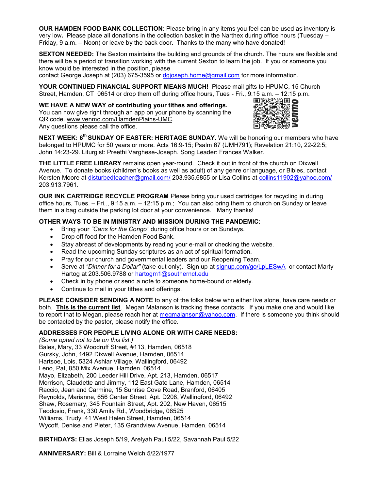**OUR HAMDEN FOOD BANK COLLECTION**: Please bring in any items you feel can be used as inventory is very low. Please place all donations in the collection basket in the Narthex during office hours (Tuesday – Friday, 9 a.m. - Noon) or leave by the back door. Thanks to the many who have donated!

**SEXTON NEEDED:** The Sexton maintains the building and grounds of the church. The hours are flexible and there will be a period of transition working with the current Sexton to learn the job. If you or someone you know would be interested in the position, please

contact George Joseph at (203) 675-3595 or [dgjoseph.home@gmail.com](mailto:dgjoseph.home@gmail.com) for more information.

**YOUR CONTINUED FINANCIAL SUPPORT MEANS MUCH!** Please mail gifts to HPUMC, 15 Church

Street, Hamden, CT 06514 or drop them off during office hours, Tues - Fri., 9:15 a.m. – 12:15 p.m.<br>
WE HAVE A NEW WAY of contributing your tithes and offerings.<br>
You can now give right through an app on your phone by scann **WE HAVE A NEW WAY of contributing your tithes and offerings.**  You can now give right through an app on your phone by scanning the QR code. [www.venmo.com/HamdenPlains-UMC.](http://www.venmo.com/HamdenPlains-UMC) Any questions please call the office.



**NEXT WEEK: 6<sup>th</sup> SUNDAY OF EASTER: HERITAGE SUNDAY.** We will be honoring our members who have belonged to HPUMC for 50 years or more. Acts 16:9-15; Psalm 67 (UMH791); Revelation 21:10, 22-22:5; John 14:23-29. Liturgist: Preethi Varghese-Joseph. Song Leader: Frances Walker.

**THE LITTLE FREE LIBRARY** remains open year-round. Check it out in front of the church on Dixwell Avenue. To donate books (children's books as well as adult) of any genre or language, or Bibles, contact Kersten Moore at [disturbedteacher@gmail.com/](mailto:disturbedteacher@gmail.com/) 203.935.6855 or Lisa Collins at [collins11902@yahoo.com/](mailto:collins11902@yahoo.com/) 203.913.7961.

**OUR INK CARTRIDGE RECYCLE PROGRAM** Please bring your used cartridges for recycling in during office hours, Tues.  $-$  Fri.., 9:15 a.m.  $-$  12:15 p.m.; You can also bring them to church on Sunday or leave them in a bag outside the parking lot door at your convenience. Many thanks!

#### **OTHER WAYS TO BE IN MINISTRY AND MISSION DURING THE PANDEMIC:**

- Bring your *"Cans for the Congo"* during office hours or on Sundays.
- Drop off food for the Hamden Food Bank.
- Stay abreast of developments by reading your e-mail or checking the website.
- Read the upcoming Sunday scriptures as an act of spiritual formation.
- Pray for our church and governmental leaders and our Reopening Team.
- Serve at *"Dinner for a Dollar"* (take-out only). Sign up at [signup.com/go/LpLESwA](https://signup.com/go/LpLESwA) or contact Marty Hartog at 203.506.9788 or [hartogm1@southernct.edu](mailto:hartogm1@southernct.edu)
- Check in by phone or send a note to someone home-bound or elderly.
- Continue to mail in your tithes and offerings.

**PLEASE CONSIDER SENDING A NOTE** to any of the folks below who either live alone, have care needs or both. **This is the current list**. Megan Malanson is tracking these contacts. If you make one and would like to report that to Megan, please reach her at [megmalanson@yahoo.com.](mailto:meganmalanson@yahoo.com) If there is someone you think should be contacted by the pastor, please notify the office.

#### **ADDRESSES FOR PEOPLE LIVING ALONE OR WITH CARE NEEDS:**

*(Some opted not to be on this list.)* Bales, Mary, 33 Woodruff Street, #113, Hamden, 06518 Gursky, John, 1492 Dixwell Avenue, Hamden, 06514 Hartsoe, Lois, 5324 Ashlar Village, Wallingford, 06492 Leno, Pat, 850 Mix Avenue, Hamden, 06514 Mayo, Elizabeth, 200 Leeder Hill Drive, Apt. 213, Hamden, 06517 Morrison, Claudette and Jimmy, 112 East Gate Lane, Hamden, 06514 Raccio, Jean and Carmine, 15 Sunrise Cove Road, Branford, 06405 Reynolds, Marianne, 656 Center Street, Apt. D208, Wallingford, 06492 Shaw, Rosemary, 345 Fountain Street, Apt. 202, New Haven, 06515 Teodosio, Frank, 330 Amity Rd., Woodbridge, 06525 Williams, Trudy, 41 West Helen Street, Hamden, 06514 Wycoff, Denise and Pieter, 135 Grandview Avenue, Hamden, 06514

**BIRTHDAYS:** Elias Joseph 5/19, Arelyah Paul 5/22, Savannah Paul 5/22

**ANNIVERSARY:** Bill & Lorraine Welch 5/22/1977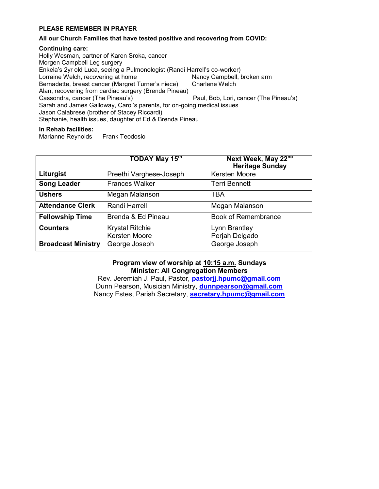#### **PLEASE REMEMBER IN PRAYER**

#### **All our Church Families that have tested positive and recovering from COVID:**

#### **Continuing care:**

Holly Wesman, partner of Karen Sroka, cancer Morgen Campbell Leg surgery Enkela's 2yr old Luca, seeing a Pulmonologist (Randi Harrell's co-worker) Lorraine Welch, recovering at home Nancy Campbell, broken arm Bernadette, breast cancer (Margret Turner's niece) Charlene Welch Alan, recovering from cardiac surgery (Brenda Pineau) Cassondra, cancer (The Pineau's) **3.1 Cassondra, cancer (The Pineau's) 3.2** Paul, Bob, Lori, cancer (The Pineau's) Sarah and James Galloway, Carol's parents, for on-going medical issues Jason Calabrese (brother of Stacey Riccardi) Stephanie, health issues, daughter of Ed & Brenda Pineau

#### **In Rehab facilities:**

Marianne Reynolds Frank Teodosio

|                           | <b>TODAY May 15<math>^{\text{m}}</math></b> | Next Week, May 22nd<br><b>Heritage Sunday</b> |
|---------------------------|---------------------------------------------|-----------------------------------------------|
| Liturgist                 | Preethi Varghese-Joseph                     | <b>Kersten Moore</b>                          |
| <b>Song Leader</b>        | <b>Frances Walker</b>                       | <b>Terri Bennett</b>                          |
| <b>Ushers</b>             | Megan Malanson                              | <b>TBA</b>                                    |
| <b>Attendance Clerk</b>   | Randi Harrell                               | Megan Malanson                                |
| <b>Fellowship Time</b>    | Brenda & Ed Pineau                          | <b>Book of Remembrance</b>                    |
| <b>Counters</b>           | <b>Krystal Ritchie</b>                      | Lynn Brantley                                 |
|                           | Kersten Moore                               | Perjah Delgado                                |
| <b>Broadcast Ministry</b> | George Joseph                               | George Joseph                                 |

#### **Program view of worship at 10:15 a.m. Sundays Minister: All Congregation Members**

Rev. Jeremiah J. Paul, Pastor, **[pastorjj.hpumc@gmail.com](mailto:pastorjj.hpumc@gmail.com)** Dunn Pearson, Musician Ministry, **[dunnpearson@gmail.com](mailto:dunnpearson@gmail.com)** Nancy Estes, Parish Secretary, **[secretary.hpumc@gmail.com](mailto:secretary.hpumc@gmail.com)**